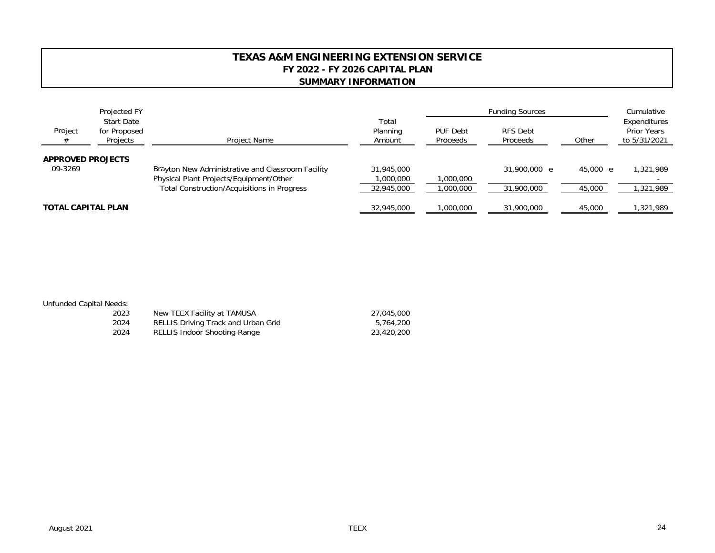## **TEXAS A&M ENGINEERING EXTENSION SERVICE FY 2022 - FY 2026 CAPITAL PLAN SUMMARY INFORMATION**

|                                     | Projected FY<br><b>Start Date</b> |                                                                                        | Total                  | <b>Funding Sources</b> |                      |          | Cumulative                                         |
|-------------------------------------|-----------------------------------|----------------------------------------------------------------------------------------|------------------------|------------------------|----------------------|----------|----------------------------------------------------|
| Project<br>#                        | for Proposed<br>Projects          | Project Name                                                                           | Planning<br>Amount     | PUF Debt<br>Proceeds   | RFS Debt<br>Proceeds | Other    | Expenditures<br><b>Prior Years</b><br>to 5/31/2021 |
| <b>APPROVED PROJECTS</b><br>09-3269 |                                   | Brayton New Administrative and Classroom Facility                                      | 31,945,000             |                        | 31,900,000 e         | 45,000 e | 1,321,989                                          |
|                                     |                                   | Physical Plant Projects/Equipment/Other<br>Total Construction/Acquisitions in Progress | 000,000,<br>32,945,000 | 1,000,000<br>1,000,000 | 31,900,000           | 45,000   | 1,321,989                                          |
| <b>TOTAL CAPITAL PLAN</b>           |                                   |                                                                                        | 32,945,000             | 1,000,000              | 31,900,000           | 45,000   | ,321,989                                           |

| <b>Unfunded Capital Needs:</b> |  |  |
|--------------------------------|--|--|
|--------------------------------|--|--|

| 2023 | New TEEX Facility at TAMUSA         | 27,045,000 |
|------|-------------------------------------|------------|
| 2024 | RELLIS Driving Track and Urban Grid | 5.764.200  |
| 2024 | RELLIS Indoor Shooting Range        | 23,420,200 |